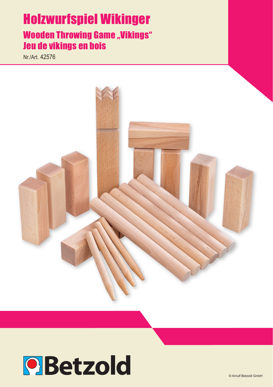# Holzwurfspiel Wikinger **Wooden Throwing Game "Vikings"** Jeu de vikings en bois

Nr./Art. 42576



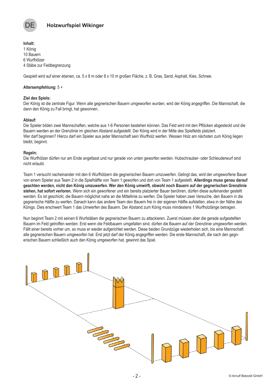

**Inhalt:** 1 König 10 Bauern 6 Wurfhölzer 4 Stäbe zur Feldbegrenzung

Gespielt wird auf einer ebenen, ca. 5 x 8 m oder 8 x 10 m großen Fläche, z. B. Gras, Sand, Asphalt, Kies, Schnee.

# **Altersempfehlung:** 5 +

#### **Ziel des Spiels:**

Der König ist die zentrale Figur. Wenn alle gegnerischen Bauern umgeworfen wurden, wird der König angegriffen. Die Mannschaft, die dann den König zu Fall bringt, hat gewonnen.

# **Ablauf:**

Die Spieler bilden zwei Mannschaften, welche aus 1-6 Personen bestehen können. Das Feld wird mit den Pflöcken abgesteckt und die Bauern werden an der Grenzlinie im gleichen Abstand aufgestellt. Der König wird in der Mitte des Spielfelds platziert. Wer darf beginnen? Hierzu darf ein Spieler aus jeder Mannschaft sein Wurfholz werfen. Wessen Holz am nächsten zum König liegen bleibt, beginnt.

#### **Regeln:**

Die Wurfhölzer dürfen nur am Ende angefasst und nur gerade von unten geworfen werden. Hubschrauber- oder Schleuderwurf sind nicht erlaubt.

Team 1 versucht nacheinander mit den 6 Wurfhölzern die gegnerischen Bauern umzuwerfen. Gelingt das, wird der umgeworfene Bauer von einem Spieler aus Team 2 in die Spielhälfte von Team 1 geworfen und dort von Team 1 aufgestellt. **Allerdings muss genau darauf geachten werden, nicht den König umzuwerfen. Wer den König umwirft, obwohl noch Bauern auf der gegnerischen Grenzlinie stehen, hat sofort verloren.** Wenn sich ein geworfener und ein bereits platzierter Bauer berühren, dürfen diese aufeinander gestellt werden. Es ist geschickt, die Bauern möglichst nahe an die Mittellinie zu werfen. Die Spieler haben zwei Versuche, den Bauern in die gegnerische Hälfte zu werfen. Danach kann das andere Team den Bauern frei in der eigenen Hälfte aufstellen, etwa in der Nähe des Königs. Dies erschwert Team 1 das Umwerfen des Bauern. Der Abstand zum König muss mindestens 1 Wurfholzlänge betragen.

Nun beginnt Team 2 mit seinen 6 Wurfstäben die gegnerischen Bauern zu attackieren. Zuerst müssen aber die gerade aufgestellten Bauern im Feld getroffen werden. Erst wenn die Feldbauern umgefallen sind, dürfen die Bauern auf der Grenzlinie umgeworfen werden. Fällt einer bereits vorher um, so muss er wieder aufgerichtet werden. Diese beiden Grundzüge wiederholen sich, bis eine Mannschaft alle gegnerischen Bauern umgeworfen hat. Erst jetzt darf der König angegriffen werden. Die erste Mannschaft, die nach den gegnerischen Bauern schließlich auch den König umgeworfen hat, gewinnt das Spiel.

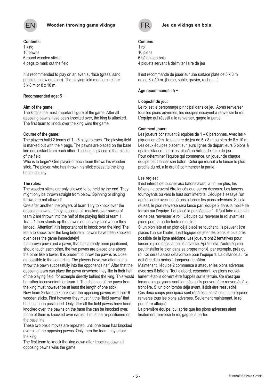

# **Contents:**

1 king 10 pawns 6 round wooden sticks 4 pegs to mark out the field

It is recommended to play on an even surface (grass, sand, pebbles, snow or stone). The playing field measures either 5 x 8 m or 8 x 10 m.

# **Recommended age:** 5 +

#### **Aim of the game:**

The king is the most important figure of the game. After all apposing pawns have been knocked over, the king is attacked. The first team to knock over the king wins the game.

# **Course of the game:**

The players build 2 teams of 1 – 6 players each. The playing field is marked out with the 4 pegs. The pawns are placed on the base line equidistant from each other. The king is placed in the middle of the field.

Who is to begin? One player of each team throws his wooden stick. The player, who has thrown his stick closest to the king begins to play.

# **The rules:**

The wooden sticks are only allowed to be held by the end. They might only be thrown straight from below. Spinning or slinging throws are not allowed!

One after another, the players of team 1 try to knock over the opposing pawns. If they succeed, all knocked-over pawns of team 2 are thrown into the half of the playing field of team 1. Team 1 then stands up the pawns on the very spot where they landed. Attention! It is important not to knock over the king! The team to knock over the king before all pawns have been knocked over loses the game immediately!

If a thrown pawn and a pawn, that has already been positioned, should touch each other, the two pawns are placed one above the other like a tower. It is prudent to throw the pawns as close as possible to the centerline. The players have two attempts to throw the pawn successfully into the opponent's half. After that the opposing team can place the pawn anywhere they like in their half of the playing field, for example directly behind the king. This would be rather inconvenient for team 1. The distance of the pawn from the king must however be at least the length of one stick.

Now team 2 starts to knock over the opposing pawns with their 6 wooden sticks. First however they must hit the "field pawns" that had just been positioned. Only after all the field pawns have been knocked over, the pawns on the base line can be knocked over. If one of them is knocked over earlier, it must be re-positioned on

the base line.

These two basic moves are repeated, until one team has knocked over all of the opposing pawns. Only then the team may attack the king.

The first team to knock the king down after knocking down all opposing pawns wins the game.



# **Contenu:**

1 roi 10 pions 6 bâtons en bois 4 piquets servant à délimiter l'aire de jeu

Il est recommandé de jouer sur une surface plate de 5 x 8 m ou de 8 x 10 m. (herbe, sable, gravier, roche, …)

# **Âge recommandé :** 5 +

# **L'objectif du jeu:**

Le roi est le personnage p rincipal dans ce jeu. Après renverser tous les pions adverses, les équipes essayent à renverser le roi. L'équipe qui réussit a le renverser, gagne la partie.

# **Comment jouer:**

Les joueurs constituent 2 équipes de 1 – 6 personnes. Avec les 4 piquets on démilite une aire de jeu de 5 x 8 m ou bien de 8 x 10 m. Les deux équipes placent sur leurs lignes de départ leurs 5 pions à égale distance. Le roi est placé au milieu de l'aire de jeu. Pour déterminer l'équipe qui commence, un joueur de chaque équipe peut lancer son bâton. Celui qui réussit à le lancer le plus proche du roi, a le droit à commencer la partie.

# **Les règles:**

Il est interdit de toucher aux bâtons avant la fin. En plus, les bâtons ne peuvent être lancés que par en dessous. Les lancers tournoyants ou vers le haut sont interdits! L'équipe 1 essaye l'un après l'autre avec les bâtons à lancer les pions adverses. Si cela réussit, le pion renversé sera lancé par l'équipe 2 dans la moitié de terrain par l'équipe 1 et placé là par l'équipe 1. Il faut faire attention de ne pas renverser le roi ! L'équipe qui renverse le roi avant les pions perd la partie toute de suite !

Si un pion jeté et un pion déjà placé se touchent, ils peuvent être placés l'un sur l'autre. Il est logique de jeter les pions le plus près possible de la ligne médiane. Les joueurs ont 2 tentatives pour lancer le pion dans la moitié adverse. Après cela, l'autre équipe peut installer le pion dans sa propre moitié, par exemple, près du roi. Ce serait assez défavorable pour l'équipe 1. La distance au roi doit être d'au moins 1 longueur de bâton.

Maintenant, l'équipe 2 commence à attaquer les pions adverses avec ses 6 bâtons. Tout d'abord, cependant, les pions nouvellement établis doivent être frappés sur le terrain. Ce n'est que lorsque les paysans sont tombés qu'ils peuvent être renversés à la frontière. Si un pion tombe déjà avant, il doit être ressuscité. Ces deux coups principaux sont répétés jusqu'à ce qu'une équipe renverse tous les pions adverses. Seulement maintenant, le roi peut être attaqué.

La première équipe, qui après que les pions adverses aient finalement renversé le roi, gagne la partie.